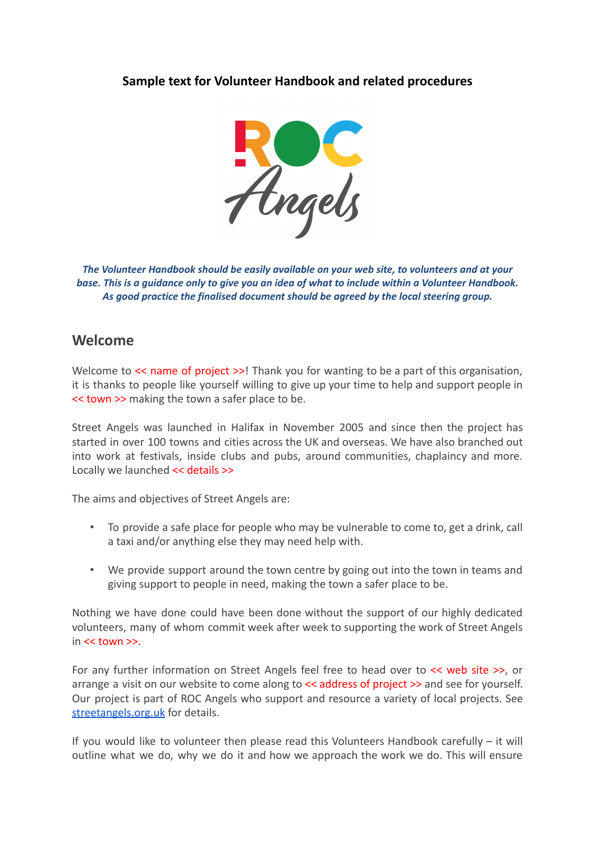# **Sample text for Volunteer Handbook and related procedures**



*The Volunteer Handbook should be easily available on your web site, to volunteers and at your* base. This is a quidance only to give you an idea of what to include within a Volunteer Handbook. *As good practice the finalised document should be agreed by the local steering group.*

# **Welcome**

Welcome to  $\leq$  name of project >>! Thank you for wanting to be a part of this organisation, it is thanks to people like yourself willing to give up your time to help and support people in << town >> making the town a safer place to be.

Street Angels was launched in Halifax in November 2005 and since then the project has started in over 100 towns and cities across the UK and overseas. We have also branched out into work at festivals, inside clubs and pubs, around communities, chaplaincy and more. Locally we launched << details >>

The aims and objectives of Street Angels are:

- To provide a safe place for people who may be vulnerable to come to, get a drink, call a taxi and/or anything else they may need help with.
- We provide support around the town centre by going out into the town in teams and giving support to people in need, making the town a safer place to be.

Nothing we have done could have been done without the support of our highly dedicated volunteers, many of whom commit week after week to supporting the work of Street Angels in  $<<$  town  $>>$ .

For any further information on Street Angels feel free to head over to << web site >>, or arrange a visit on our website to come along to  $\lt\lt$  address of project >> and see for yourself. Our project is part of ROC Angels who support and resource a variety of local projects. See [streetangels.org.uk](http://www.streetangels.org.uk) for details.

If you would like to volunteer then please read this Volunteers Handbook carefully – it will outline what we do, why we do it and how we approach the work we do. This will ensure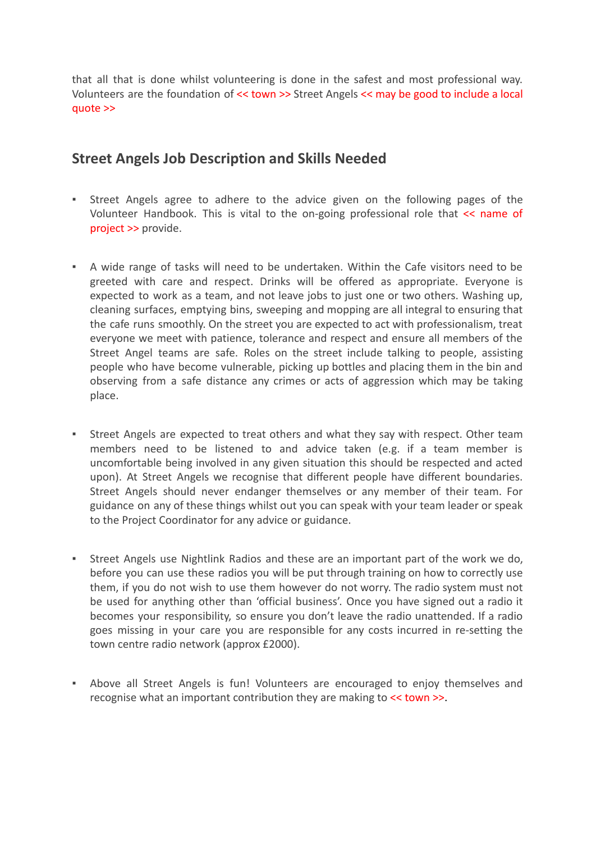that all that is done whilst volunteering is done in the safest and most professional way. Volunteers are the foundation of << town >> Street Angels << may be good to include a local quote >>

# **Street Angels Job Description and Skills Needed**

- Street Angels agree to adhere to the advice given on the following pages of the Volunteer Handbook. This is vital to the on-going professional role that << name of project >> provide.
- A wide range of tasks will need to be undertaken. Within the Cafe visitors need to be greeted with care and respect. Drinks will be offered as appropriate. Everyone is expected to work as a team, and not leave jobs to just one or two others. Washing up, cleaning surfaces, emptying bins, sweeping and mopping are all integral to ensuring that the cafe runs smoothly. On the street you are expected to act with professionalism, treat everyone we meet with patience, tolerance and respect and ensure all members of the Street Angel teams are safe. Roles on the street include talking to people, assisting people who have become vulnerable, picking up bottles and placing them in the bin and observing from a safe distance any crimes or acts of aggression which may be taking place.
- Street Angels are expected to treat others and what they say with respect. Other team members need to be listened to and advice taken (e.g. if a team member is uncomfortable being involved in any given situation this should be respected and acted upon). At Street Angels we recognise that different people have different boundaries. Street Angels should never endanger themselves or any member of their team. For guidance on any of these things whilst out you can speak with your team leader or speak to the Project Coordinator for any advice or guidance.
- Street Angels use Nightlink Radios and these are an important part of the work we do, before you can use these radios you will be put through training on how to correctly use them, if you do not wish to use them however do not worry. The radio system must not be used for anything other than 'official business'. Once you have signed out a radio it becomes your responsibility, so ensure you don't leave the radio unattended. If a radio goes missing in your care you are responsible for any costs incurred in re-setting the town centre radio network (approx £2000).
- Above all Street Angels is fun! Volunteers are encouraged to enjoy themselves and recognise what an important contribution they are making to << town >>.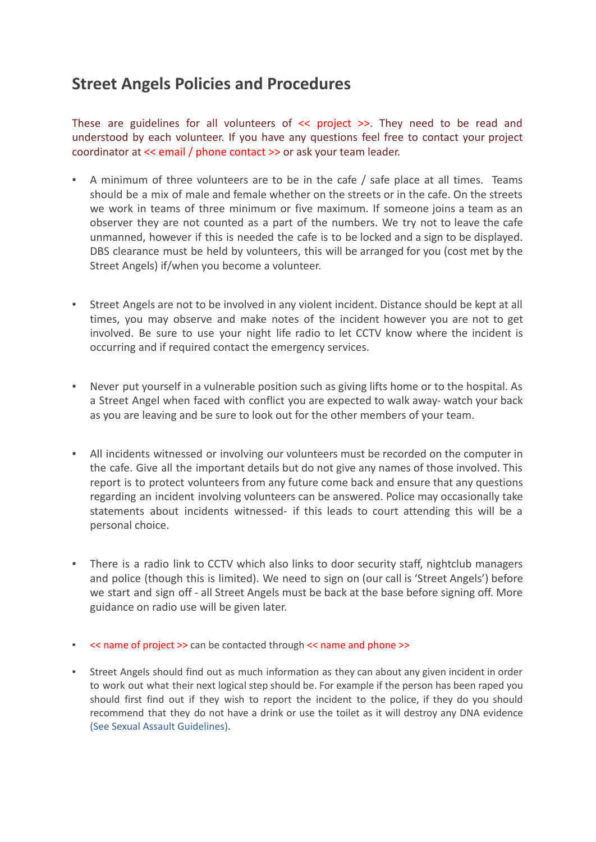# **Street Angels Policies and Procedures**

These are guidelines for all volunteers of << project >>. They need to be read and understood by each volunteer. If you have any questions feel free to contact your project coordinator at << email / phone contact >> or ask your team leader.

- A minimum of three volunteers are to be in the cafe / safe place at all times. Teams should be a mix of male and female whether on the streets or in the cafe. On the streets we work in teams of three minimum or five maximum. If someone joins a team as an observer they are not counted as a part of the numbers. We try not to leave the cafe unmanned, however if this is needed the cafe is to be locked and a sign to be displayed. DBS clearance must be held by volunteers, this will be arranged for you (cost met by the Street Angels) if/when you become a volunteer.
- **EXECT:** Street Angels are not to be involved in any violent incident. Distance should be kept at all times, you may observe and make notes of the incident however you are not to get involved. Be sure to use your night life radio to let CCTV know where the incident is occurring and if required contact the emergency services.
- Never put yourself in a vulnerable position such as giving lifts home or to the hospital. As a Street Angel when faced with conflict you are expected to walk away- watch your back as you are leaving and be sure to look out for the other members of your team.
- All incidents witnessed or involving our volunteers must be recorded on the computer in the cafe. Give all the important details but do not give any names of those involved. This report is to protect volunteers from any future come back and ensure that any questions regarding an incident involving volunteers can be answered. Police may occasionally take statements about incidents witnessed- if this leads to court attending this will be a personal choice.
- There is a radio link to CCTV which also links to door security staff, nightclub managers and police (though this is limited). We need to sign on (our call is 'Street Angels') before we start and sign off - all Street Angels must be back at the base before signing off. More guidance on radio use will be given later.
- << name of project >> can be contacted through << name and phone >>
- Street Angels should find out as much information as they can about any given incident in order to work out what their next logical step should be. For example if the person has been raped you should first find out if they wish to report the incident to the police, if they do you should recommend that they do not have a drink or use the toilet as it will destroy any DNA evidence (See Sexual Assault Guidelines).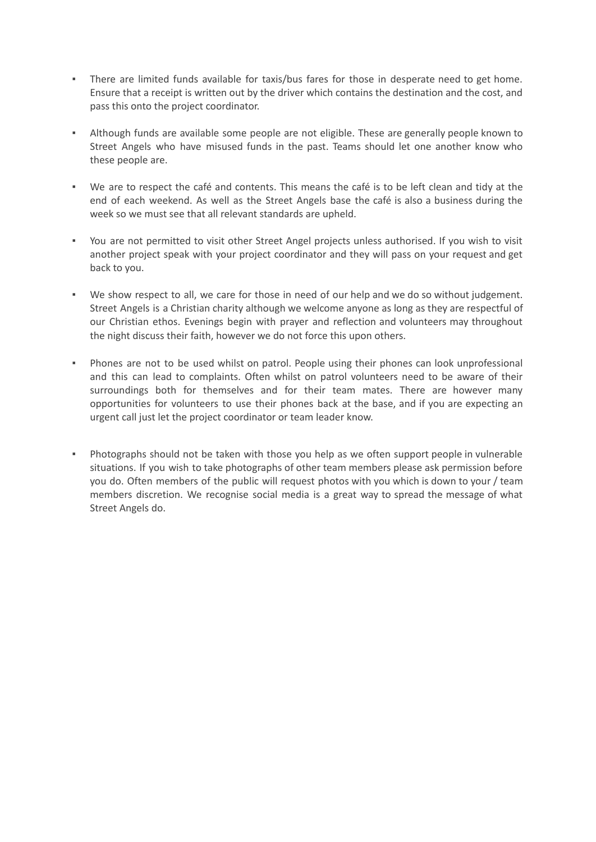- There are limited funds available for taxis/bus fares for those in desperate need to get home. Ensure that a receipt is written out by the driver which contains the destination and the cost, and pass this onto the project coordinator.
- Although funds are available some people are not eligible. These are generally people known to Street Angels who have misused funds in the past. Teams should let one another know who these people are.
- We are to respect the café and contents. This means the café is to be left clean and tidy at the end of each weekend. As well as the Street Angels base the café is also a business during the week so we must see that all relevant standards are upheld.
- You are not permitted to visit other Street Angel projects unless authorised. If you wish to visit another project speak with your project coordinator and they will pass on your request and get back to you.
- We show respect to all, we care for those in need of our help and we do so without judgement. Street Angels is a Christian charity although we welcome anyone as long as they are respectful of our Christian ethos. Evenings begin with prayer and reflection and volunteers may throughout the night discuss their faith, however we do not force this upon others.
- Phones are not to be used whilst on patrol. People using their phones can look unprofessional and this can lead to complaints. Often whilst on patrol volunteers need to be aware of their surroundings both for themselves and for their team mates. There are however many opportunities for volunteers to use their phones back at the base, and if you are expecting an urgent call just let the project coordinator or team leader know.
- Photographs should not be taken with those you help as we often support people in vulnerable situations. If you wish to take photographs of other team members please ask permission before you do. Often members of the public will request photos with you which is down to your / team members discretion. We recognise social media is a great way to spread the message of what Street Angels do.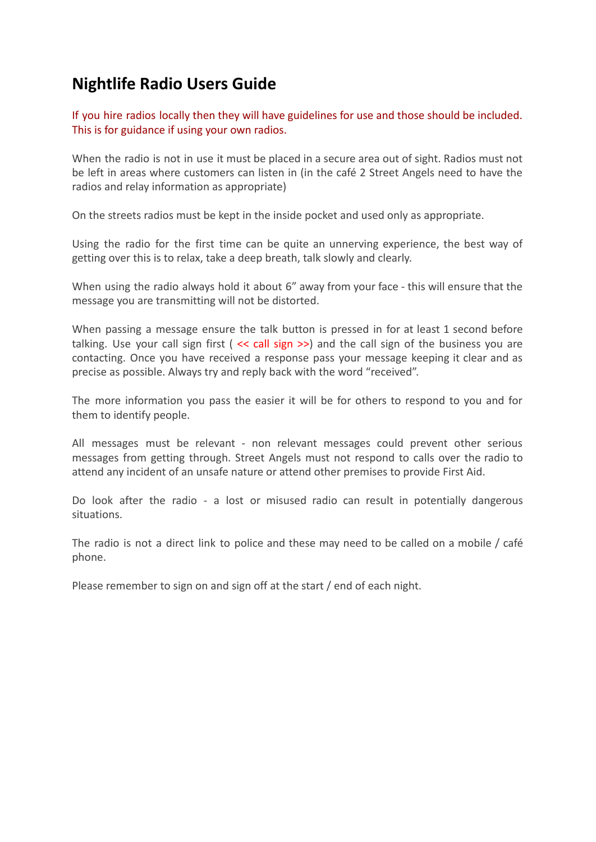# **Nightlife Radio Users Guide**

If you hire radios locally then they will have guidelines for use and those should be included. This is for guidance if using your own radios.

When the radio is not in use it must be placed in a secure area out of sight. Radios must not be left in areas where customers can listen in (in the café 2 Street Angels need to have the radios and relay information as appropriate)

On the streets radios must be kept in the inside pocket and used only as appropriate.

Using the radio for the first time can be quite an unnerving experience, the best way of getting over this is to relax, take a deep breath, talk slowly and clearly.

When using the radio always hold it about 6" away from your face - this will ensure that the message you are transmitting will not be distorted.

When passing a message ensure the talk button is pressed in for at least 1 second before talking. Use your call sign first ( $\lt\lt$  call sign  $\gt$ ) and the call sign of the business you are contacting. Once you have received a response pass your message keeping it clear and as precise as possible. Always try and reply back with the word "received".

The more information you pass the easier it will be for others to respond to you and for them to identify people.

All messages must be relevant - non relevant messages could prevent other serious messages from getting through. Street Angels must not respond to calls over the radio to attend any incident of an unsafe nature or attend other premises to provide First Aid.

Do look after the radio - a lost or misused radio can result in potentially dangerous situations.

The radio is not a direct link to police and these may need to be called on a mobile / café phone.

Please remember to sign on and sign off at the start / end of each night.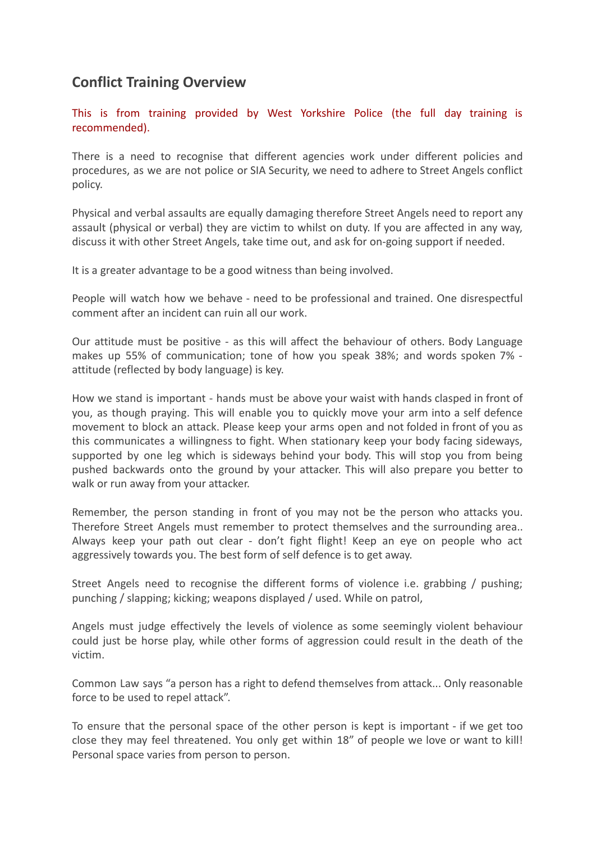# **Conflict Training Overview**

This is from training provided by West Yorkshire Police (the full day training is recommended).

There is a need to recognise that different agencies work under different policies and procedures, as we are not police or SIA Security, we need to adhere to Street Angels conflict policy.

Physical and verbal assaults are equally damaging therefore Street Angels need to report any assault (physical or verbal) they are victim to whilst on duty. If you are affected in any way, discuss it with other Street Angels, take time out, and ask for on-going support if needed.

It is a greater advantage to be a good witness than being involved.

People will watch how we behave - need to be professional and trained. One disrespectful comment after an incident can ruin all our work.

Our attitude must be positive - as this will affect the behaviour of others. Body Language makes up 55% of communication; tone of how you speak 38%; and words spoken 7% attitude (reflected by body language) is key.

How we stand is important - hands must be above your waist with hands clasped in front of you, as though praying. This will enable you to quickly move your arm into a self defence movement to block an attack. Please keep your arms open and not folded in front of you as this communicates a willingness to fight. When stationary keep your body facing sideways, supported by one leg which is sideways behind your body. This will stop you from being pushed backwards onto the ground by your attacker. This will also prepare you better to walk or run away from your attacker.

Remember, the person standing in front of you may not be the person who attacks you. Therefore Street Angels must remember to protect themselves and the surrounding area.. Always keep your path out clear - don't fight flight! Keep an eye on people who act aggressively towards you. The best form of self defence is to get away.

Street Angels need to recognise the different forms of violence i.e. grabbing / pushing; punching / slapping; kicking; weapons displayed / used. While on patrol,

Angels must judge effectively the levels of violence as some seemingly violent behaviour could just be horse play, while other forms of aggression could result in the death of the victim.

Common Law says "a person has a right to defend themselves from attack... Only reasonable force to be used to repel attack".

To ensure that the personal space of the other person is kept is important - if we get too close they may feel threatened. You only get within 18" of people we love or want to kill! Personal space varies from person to person.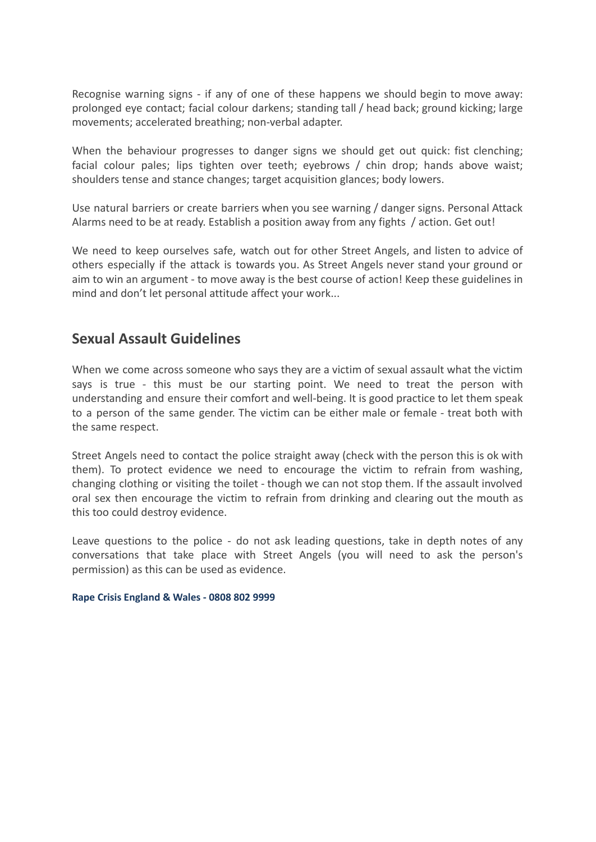Recognise warning signs - if any of one of these happens we should begin to move away: prolonged eye contact; facial colour darkens; standing tall / head back; ground kicking; large movements; accelerated breathing; non-verbal adapter.

When the behaviour progresses to danger signs we should get out quick: fist clenching: facial colour pales; lips tighten over teeth; eyebrows / chin drop; hands above waist; shoulders tense and stance changes; target acquisition glances; body lowers.

Use natural barriers or create barriers when you see warning / danger signs. Personal Attack Alarms need to be at ready. Establish a position away from any fights / action. Get out!

We need to keep ourselves safe, watch out for other Street Angels, and listen to advice of others especially if the attack is towards you. As Street Angels never stand your ground or aim to win an argument - to move away is the best course of action! Keep these guidelines in mind and don't let personal attitude affect your work...

# **Sexual Assault Guidelines**

When we come across someone who says they are a victim of sexual assault what the victim says is true - this must be our starting point. We need to treat the person with understanding and ensure their comfort and well-being. It is good practice to let them speak to a person of the same gender. The victim can be either male or female - treat both with the same respect.

Street Angels need to contact the police straight away (check with the person this is ok with them). To protect evidence we need to encourage the victim to refrain from washing, changing clothing or visiting the toilet - though we can not stop them. If the assault involved oral sex then encourage the victim to refrain from drinking and clearing out the mouth as this too could destroy evidence.

Leave questions to the police - do not ask leading questions, take in depth notes of any conversations that take place with Street Angels (you will need to ask the person's permission) as this can be used as evidence.

#### **Rape Crisis England & Wales - 0808 802 9999**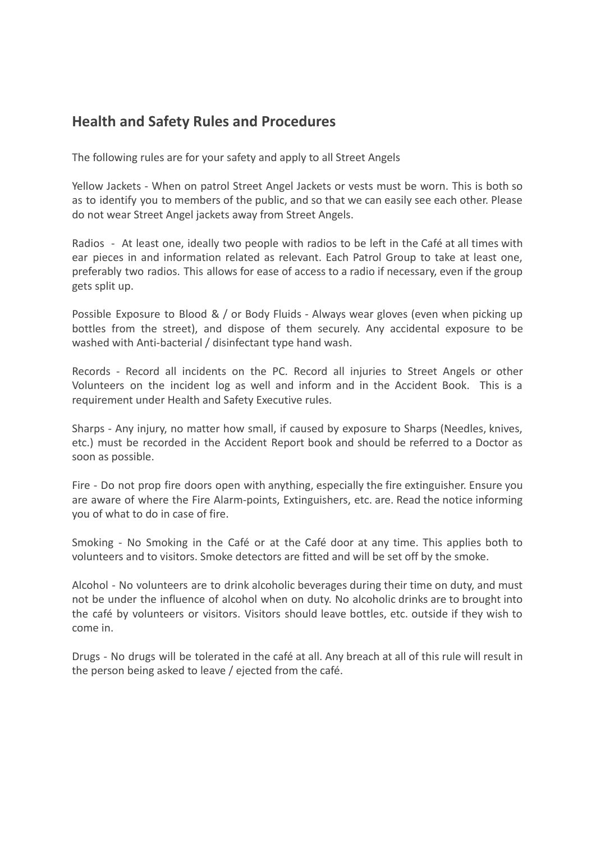# **Health and Safety Rules and Procedures**

The following rules are for your safety and apply to all Street Angels

Yellow Jackets - When on patrol Street Angel Jackets or vests must be worn. This is both so as to identify you to members of the public, and so that we can easily see each other. Please do not wear Street Angel jackets away from Street Angels.

Radios - At least one, ideally two people with radios to be left in the Café at all times with ear pieces in and information related as relevant. Each Patrol Group to take at least one, preferably two radios. This allows for ease of access to a radio if necessary, even if the group gets split up.

Possible Exposure to Blood & / or Body Fluids - Always wear gloves (even when picking up bottles from the street), and dispose of them securely. Any accidental exposure to be washed with Anti-bacterial / disinfectant type hand wash.

Records - Record all incidents on the PC. Record all injuries to Street Angels or other Volunteers on the incident log as well and inform and in the Accident Book. This is a requirement under Health and Safety Executive rules.

Sharps - Any injury, no matter how small, if caused by exposure to Sharps (Needles, knives, etc.) must be recorded in the Accident Report book and should be referred to a Doctor as soon as possible.

Fire - Do not prop fire doors open with anything, especially the fire extinguisher. Ensure you are aware of where the Fire Alarm-points, Extinguishers, etc. are. Read the notice informing you of what to do in case of fire.

Smoking - No Smoking in the Café or at the Café door at any time. This applies both to volunteers and to visitors. Smoke detectors are fitted and will be set off by the smoke.

Alcohol - No volunteers are to drink alcoholic beverages during their time on duty, and must not be under the influence of alcohol when on duty. No alcoholic drinks are to brought into the café by volunteers or visitors. Visitors should leave bottles, etc. outside if they wish to come in.

Drugs - No drugs will be tolerated in the café at all. Any breach at all of this rule will result in the person being asked to leave / ejected from the café.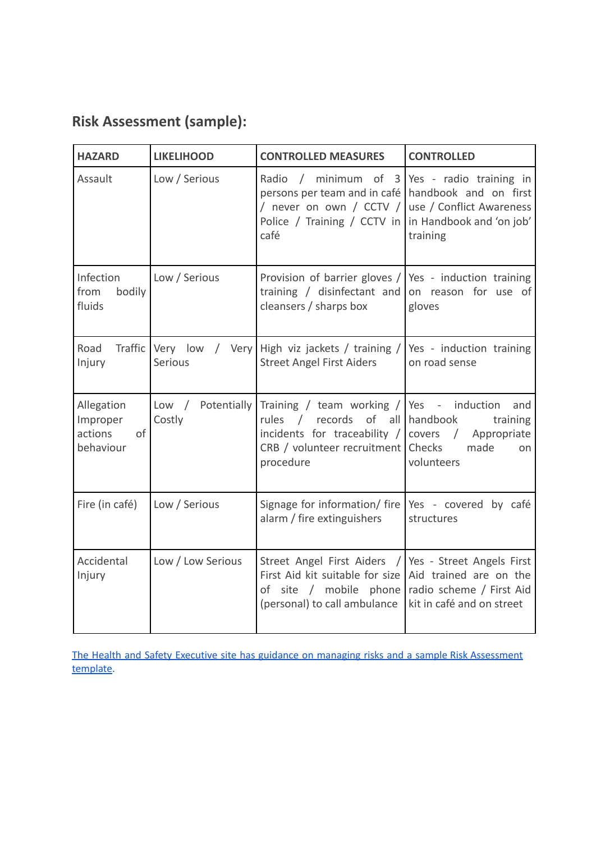# **Risk Assessment (sample):**

| <b>HAZARD</b>                                        | <b>LIKELIHOOD</b>              | <b>CONTROLLED MEASURES</b>                                                                                                                                                       | <b>CONTROLLED</b>                                                                              |
|------------------------------------------------------|--------------------------------|----------------------------------------------------------------------------------------------------------------------------------------------------------------------------------|------------------------------------------------------------------------------------------------|
| Assault                                              | Low / Serious                  | Radio /<br>persons per team and in café   handbook and on first<br>/ never on own / CCTV /<br>Police / Training / CCTV in   in Handbook and 'on job'<br>café                     | minimum of $3$ Yes - radio training in<br>use / Conflict Awareness<br>training                 |
| Infection<br>bodily<br>from<br>fluids                | Low / Serious                  | Provision of barrier gloves /<br>training / disinfectant and<br>cleansers / sharps box                                                                                           | Yes - induction training<br>on reason for use of<br>gloves                                     |
| Traffic<br>Road<br>Injury                            | Very low<br>Serious            | / Very   High viz jackets / training /<br><b>Street Angel First Aiders</b>                                                                                                       | Yes - induction training<br>on road sense                                                      |
| Allegation<br>Improper<br>actions<br>of<br>behaviour | Potentially<br>Low /<br>Costly | Training / team working / Yes - induction<br>records<br>of all<br>rules /<br>incidents for traceability /<br>CRB / volunteer recruitment   Checks<br>procedure                   | and<br>handbook<br>training<br>Appropriate<br>covers<br>$\sqrt{2}$<br>made<br>on<br>volunteers |
| Fire (in café)                                       | Low / Serious                  | Signage for information/ fire   Yes - covered by café<br>alarm / fire extinguishers                                                                                              | structures                                                                                     |
| Accidental<br>Injury                                 | Low / Low Serious              | Street Angel First Aiders / Yes - Street Angels First<br>First Aid kit suitable for size $ $ Aid trained are on the<br>mobile phone<br>of site /<br>(personal) to call ambulance | radio scheme / First Aid<br>kit in café and on street                                          |

The Health and Safety Executive site has guidance on managing risks and a sample Risk [Assessment](https://www.hse.gov.uk/simple-health-safety/risk/index.htm) [template](https://www.hse.gov.uk/simple-health-safety/risk/index.htm).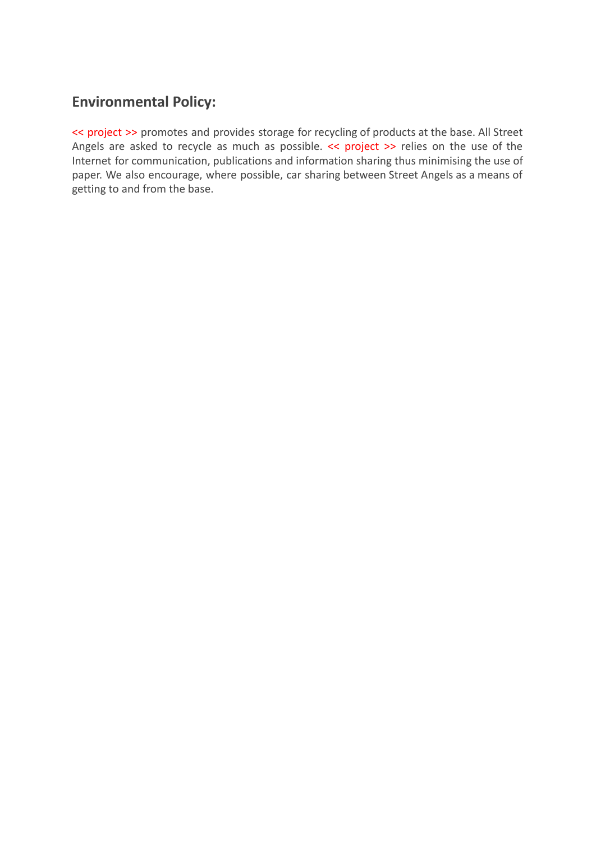# **Environmental Policy:**

<< project >> promotes and provides storage for recycling of products at the base. All Street Angels are asked to recycle as much as possible. << project >> relies on the use of the Internet for communication, publications and information sharing thus minimising the use of paper. We also encourage, where possible, car sharing between Street Angels as a means of getting to and from the base.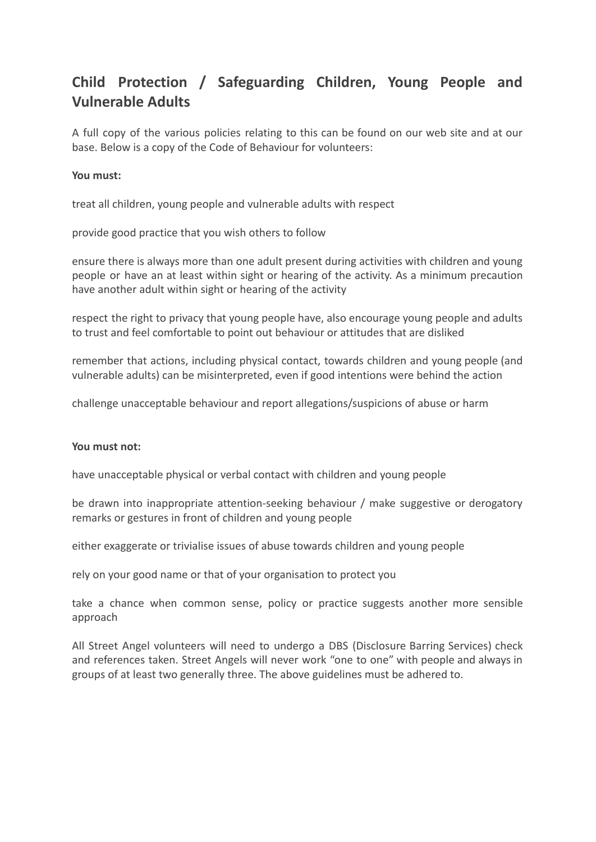# **Child Protection / Safeguarding Children, Young People and Vulnerable Adults**

A full copy of the various policies relating to this can be found on our web site and at our base. Below is a copy of the Code of Behaviour for volunteers:

#### **You must:**

treat all children, young people and vulnerable adults with respect

provide good practice that you wish others to follow

ensure there is always more than one adult present during activities with children and young people or have an at least within sight or hearing of the activity. As a minimum precaution have another adult within sight or hearing of the activity

respect the right to privacy that young people have, also encourage young people and adults to trust and feel comfortable to point out behaviour or attitudes that are disliked

remember that actions, including physical contact, towards children and young people (and vulnerable adults) can be misinterpreted, even if good intentions were behind the action

challenge unacceptable behaviour and report allegations/suspicions of abuse or harm

#### **You must not:**

have unacceptable physical or verbal contact with children and young people

be drawn into inappropriate attention-seeking behaviour / make suggestive or derogatory remarks or gestures in front of children and young people

either exaggerate or trivialise issues of abuse towards children and young people

rely on your good name or that of your organisation to protect you

take a chance when common sense, policy or practice suggests another more sensible approach

All Street Angel volunteers will need to undergo a DBS (Disclosure Barring Services) check and references taken. Street Angels will never work "one to one" with people and always in groups of at least two generally three. The above guidelines must be adhered to.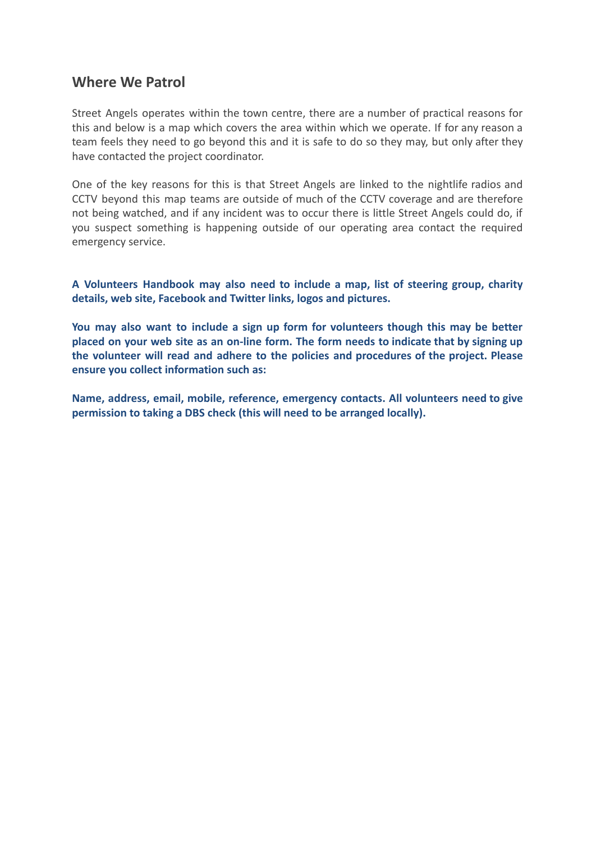# **Where We Patrol**

Street Angels operates within the town centre, there are a number of practical reasons for this and below is a map which covers the area within which we operate. If for any reason a team feels they need to go beyond this and it is safe to do so they may, but only after they have contacted the project coordinator.

One of the key reasons for this is that Street Angels are linked to the nightlife radios and CCTV beyond this map teams are outside of much of the CCTV coverage and are therefore not being watched, and if any incident was to occur there is little Street Angels could do, if you suspect something is happening outside of our operating area contact the required emergency service.

**A Volunteers Handbook may also need to include a map, list of steering group, charity details, web site, Facebook and Twitter links, logos and pictures.**

**You may also want to include a sign up form for volunteers though this may be better placed on your web site as an on-line form. The form needs to indicate that by signing up the volunteer will read and adhere to the policies and procedures of the project. Please ensure you collect information such as:**

**Name, address, email, mobile, reference, emergency contacts. All volunteers need to give permission to taking a DBS check (this will need to be arranged locally).**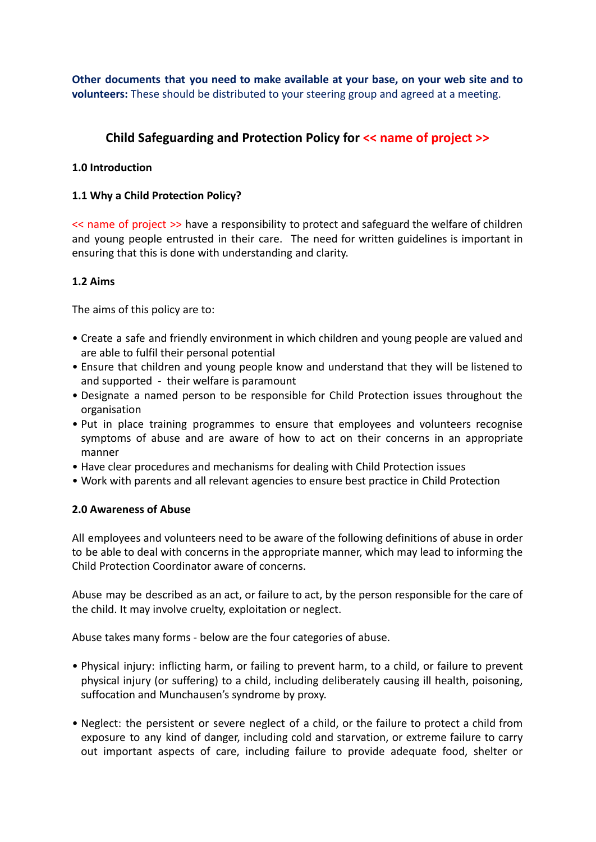**Other documents that you need to make available at your base, on your web site and to volunteers:** These should be distributed to your steering group and agreed at a meeting.

# **Child Safeguarding and Protection Policy for << name of project >>**

#### **1.0 Introduction**

#### **1.1 Why a Child Protection Policy?**

<< name of project >> have a responsibility to protect and safeguard the welfare of children and young people entrusted in their care. The need for written guidelines is important in ensuring that this is done with understanding and clarity.

#### **1.2 Aims**

The aims of this policy are to:

- Create a safe and friendly environment in which children and young people are valued and are able to fulfil their personal potential
- Ensure that children and young people know and understand that they will be listened to and supported - their welfare is paramount
- Designate a named person to be responsible for Child Protection issues throughout the organisation
- Put in place training programmes to ensure that employees and volunteers recognise symptoms of abuse and are aware of how to act on their concerns in an appropriate manner
- Have clear procedures and mechanisms for dealing with Child Protection issues
- Work with parents and all relevant agencies to ensure best practice in Child Protection

#### **2.0 Awareness of Abuse**

All employees and volunteers need to be aware of the following definitions of abuse in order to be able to deal with concerns in the appropriate manner, which may lead to informing the Child Protection Coordinator aware of concerns.

Abuse may be described as an act, or failure to act, by the person responsible for the care of the child. It may involve cruelty, exploitation or neglect.

Abuse takes many forms - below are the four categories of abuse.

- Physical injury: inflicting harm, or failing to prevent harm, to a child, or failure to prevent physical injury (or suffering) to a child, including deliberately causing ill health, poisoning, suffocation and Munchausen's syndrome by proxy.
- Neglect: the persistent or severe neglect of a child, or the failure to protect a child from exposure to any kind of danger, including cold and starvation, or extreme failure to carry out important aspects of care, including failure to provide adequate food, shelter or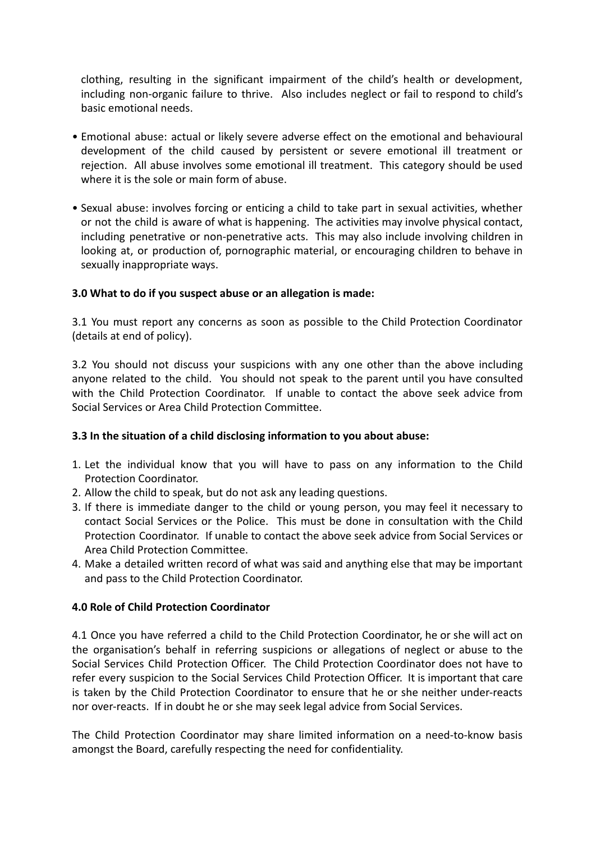clothing, resulting in the significant impairment of the child's health or development, including non-organic failure to thrive. Also includes neglect or fail to respond to child's basic emotional needs.

- Emotional abuse: actual or likely severe adverse effect on the emotional and behavioural development of the child caused by persistent or severe emotional ill treatment or rejection. All abuse involves some emotional ill treatment. This category should be used where it is the sole or main form of abuse.
- Sexual abuse: involves forcing or enticing a child to take part in sexual activities, whether or not the child is aware of what is happening. The activities may involve physical contact, including penetrative or non-penetrative acts. This may also include involving children in looking at, or production of, pornographic material, or encouraging children to behave in sexually inappropriate ways.

### **3.0 What to do if you suspect abuse or an allegation is made:**

3.1 You must report any concerns as soon as possible to the Child Protection Coordinator (details at end of policy).

3.2 You should not discuss your suspicions with any one other than the above including anyone related to the child. You should not speak to the parent until you have consulted with the Child Protection Coordinator. If unable to contact the above seek advice from Social Services or Area Child Protection Committee.

#### **3.3 In the situation of a child disclosing information to you about abuse:**

- 1. Let the individual know that you will have to pass on any information to the Child Protection Coordinator.
- 2. Allow the child to speak, but do not ask any leading questions.
- 3. If there is immediate danger to the child or young person, you may feel it necessary to contact Social Services or the Police. This must be done in consultation with the Child Protection Coordinator. If unable to contact the above seek advice from Social Services or Area Child Protection Committee.
- 4. Make a detailed written record of what was said and anything else that may be important and pass to the Child Protection Coordinator.

#### **4.0 Role of Child Protection Coordinator**

4.1 Once you have referred a child to the Child Protection Coordinator, he or she will act on the organisation's behalf in referring suspicions or allegations of neglect or abuse to the Social Services Child Protection Officer. The Child Protection Coordinator does not have to refer every suspicion to the Social Services Child Protection Officer. It is important that care is taken by the Child Protection Coordinator to ensure that he or she neither under-reacts nor over-reacts. If in doubt he or she may seek legal advice from Social Services.

The Child Protection Coordinator may share limited information on a need-to-know basis amongst the Board, carefully respecting the need for confidentiality.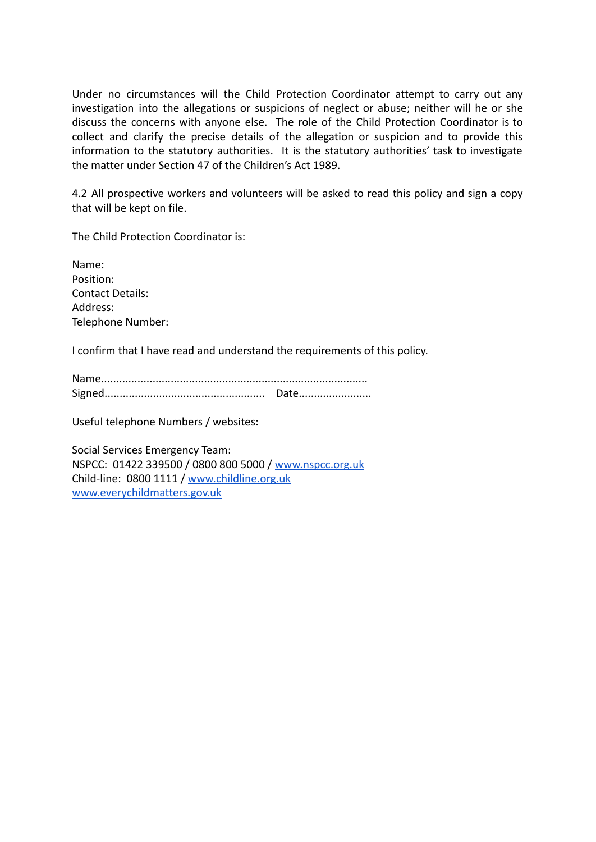Under no circumstances will the Child Protection Coordinator attempt to carry out any investigation into the allegations or suspicions of neglect or abuse; neither will he or she discuss the concerns with anyone else. The role of the Child Protection Coordinator is to collect and clarify the precise details of the allegation or suspicion and to provide this information to the statutory authorities. It is the statutory authorities' task to investigate the matter under Section 47 of the Children's Act 1989.

4.2 All prospective workers and volunteers will be asked to read this policy and sign a copy that will be kept on file.

The Child Protection Coordinator is:

Name: Position: Contact Details: Address: Telephone Number:

I confirm that I have read and understand the requirements of this policy.

| Date |
|------|

Useful telephone Numbers / websites:

Social Services Emergency Team: NSPCC: 01422 339500 / 0800 800 5000 / [www.nspcc.org.uk](http://www.nspcc.org.uk) Child-line: 0800 1111 / [www.childline.org.uk](http://www.childline.org.uk) [www.everychildmatters.gov.uk](http://www.everychildmatters.gov.uk)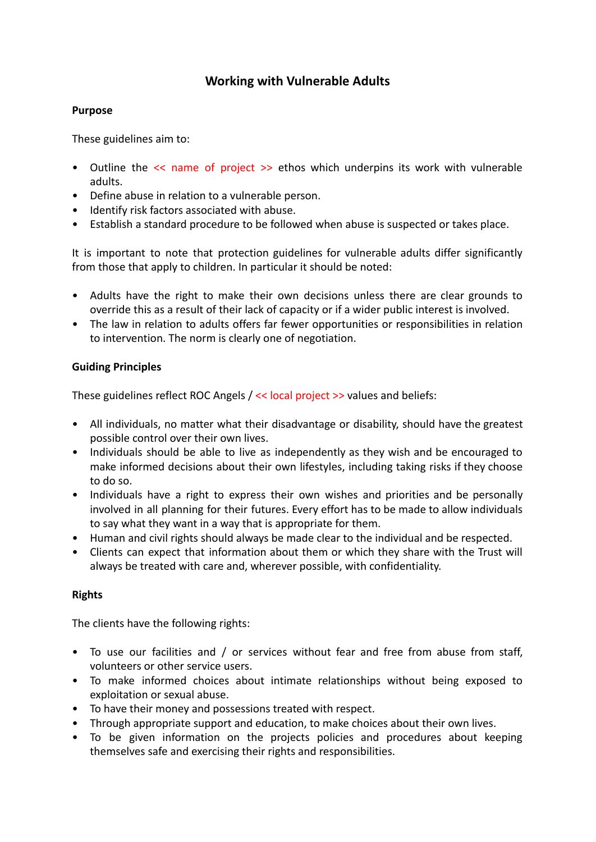# **Working with Vulnerable Adults**

#### **Purpose**

These guidelines aim to:

- Outline the  $\le$  name of project  $\ge$  ethos which underpins its work with vulnerable adults.
- Define abuse in relation to a vulnerable person.
- Identify risk factors associated with abuse.
- Establish a standard procedure to be followed when abuse is suspected or takes place.

It is important to note that protection guidelines for vulnerable adults differ significantly from those that apply to children. In particular it should be noted:

- Adults have the right to make their own decisions unless there are clear grounds to override this as a result of their lack of capacity or if a wider public interest is involved.
- The law in relation to adults offers far fewer opportunities or responsibilities in relation to intervention. The norm is clearly one of negotiation.

### **Guiding Principles**

These guidelines reflect ROC Angels / << local project >> values and beliefs:

- All individuals, no matter what their disadvantage or disability, should have the greatest possible control over their own lives.
- Individuals should be able to live as independently as they wish and be encouraged to make informed decisions about their own lifestyles, including taking risks if they choose to do so.
- Individuals have a right to express their own wishes and priorities and be personally involved in all planning for their futures. Every effort has to be made to allow individuals to say what they want in a way that is appropriate for them.
- Human and civil rights should always be made clear to the individual and be respected.
- Clients can expect that information about them or which they share with the Trust will always be treated with care and, wherever possible, with confidentiality.

### **Rights**

The clients have the following rights:

- To use our facilities and / or services without fear and free from abuse from staff, volunteers or other service users.
- To make informed choices about intimate relationships without being exposed to exploitation or sexual abuse.
- To have their money and possessions treated with respect.
- Through appropriate support and education, to make choices about their own lives.
- To be given information on the projects policies and procedures about keeping themselves safe and exercising their rights and responsibilities.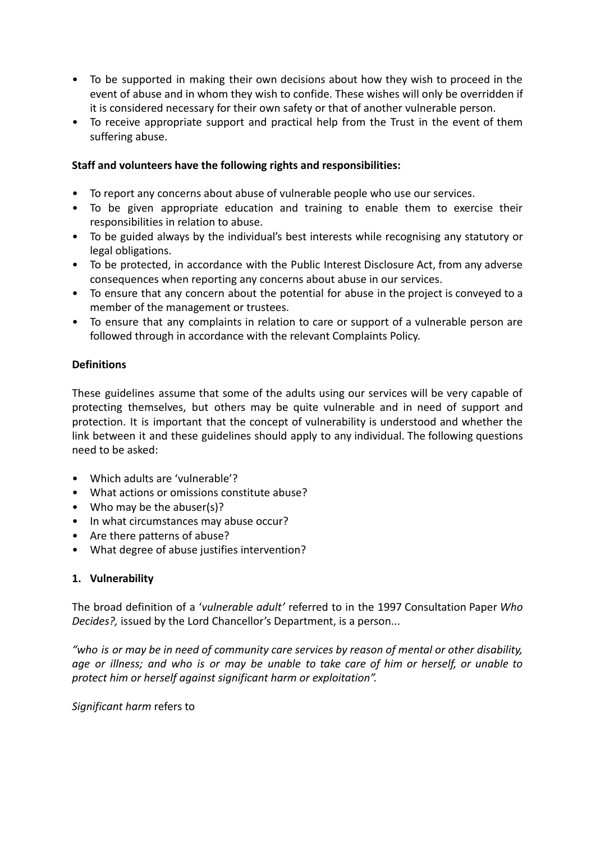- To be supported in making their own decisions about how they wish to proceed in the event of abuse and in whom they wish to confide. These wishes will only be overridden if it is considered necessary for their own safety or that of another vulnerable person.
- To receive appropriate support and practical help from the Trust in the event of them suffering abuse.

#### **Staff and volunteers have the following rights and responsibilities:**

- To report any concerns about abuse of vulnerable people who use our services.
- To be given appropriate education and training to enable them to exercise their responsibilities in relation to abuse.
- To be guided always by the individual's best interests while recognising any statutory or legal obligations.
- To be protected, in accordance with the Public Interest Disclosure Act, from any adverse consequences when reporting any concerns about abuse in our services.
- To ensure that any concern about the potential for abuse in the project is conveyed to a member of the management or trustees.
- To ensure that any complaints in relation to care or support of a vulnerable person are followed through in accordance with the relevant Complaints Policy.

#### **Definitions**

These guidelines assume that some of the adults using our services will be very capable of protecting themselves, but others may be quite vulnerable and in need of support and protection. It is important that the concept of vulnerability is understood and whether the link between it and these guidelines should apply to any individual. The following questions need to be asked:

- Which adults are 'vulnerable'?
- What actions or omissions constitute abuse?
- Who may be the abuser(s)?
- In what circumstances may abuse occur?
- Are there patterns of abuse?
- What degree of abuse justifies intervention?

#### **1. Vulnerability**

The broad definition of a '*vulnerable adult'* referred to in the 1997 Consultation Paper *Who Decides?,* issued by the Lord Chancellor's Department, is a person...

*"who is or may be in need of community care services by reason of mental or other disability,* age or illness; and who is or may be unable to take care of him or herself, or unable to *protect him or herself against significant harm or exploitation".*

*Significant harm* refers to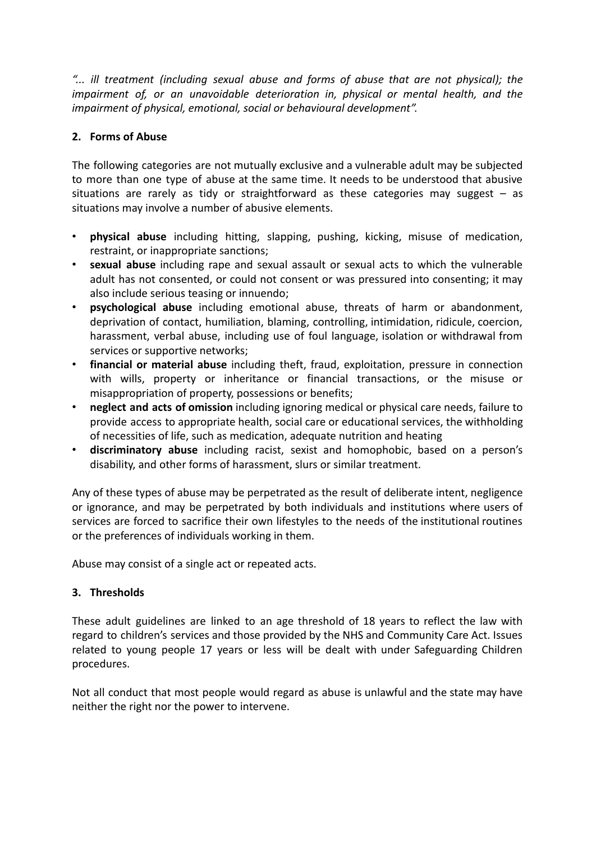*"... ill treatment (including sexual abuse and forms of abuse that are not physical); the impairment of, or an unavoidable deterioration in, physical or mental health, and the impairment of physical, emotional, social or behavioural development".*

## **2. Forms of Abuse**

The following categories are not mutually exclusive and a vulnerable adult may be subjected to more than one type of abuse at the same time. It needs to be understood that abusive situations are rarely as tidy or straightforward as these categories may suggest  $-$  as situations may involve a number of abusive elements.

- **physical abuse** including hitting, slapping, pushing, kicking, misuse of medication, restraint, or inappropriate sanctions;
- **sexual abuse** including rape and sexual assault or sexual acts to which the vulnerable adult has not consented, or could not consent or was pressured into consenting; it may also include serious teasing or innuendo;
- **psychological abuse** including emotional abuse, threats of harm or abandonment, deprivation of contact, humiliation, blaming, controlling, intimidation, ridicule, coercion, harassment, verbal abuse, including use of foul language, isolation or withdrawal from services or supportive networks;
- **financial or material abuse** including theft, fraud, exploitation, pressure in connection with wills, property or inheritance or financial transactions, or the misuse or misappropriation of property, possessions or benefits;
- **neglect and acts of omission** including ignoring medical or physical care needs, failure to provide access to appropriate health, social care or educational services, the withholding of necessities of life, such as medication, adequate nutrition and heating
- **discriminatory abuse** including racist, sexist and homophobic, based on a person's disability, and other forms of harassment, slurs or similar treatment.

Any of these types of abuse may be perpetrated as the result of deliberate intent, negligence or ignorance, and may be perpetrated by both individuals and institutions where users of services are forced to sacrifice their own lifestyles to the needs of the institutional routines or the preferences of individuals working in them.

Abuse may consist of a single act or repeated acts.

### **3. Thresholds**

These adult guidelines are linked to an age threshold of 18 years to reflect the law with regard to children's services and those provided by the NHS and Community Care Act. Issues related to young people 17 years or less will be dealt with under Safeguarding Children procedures.

Not all conduct that most people would regard as abuse is unlawful and the state may have neither the right nor the power to intervene.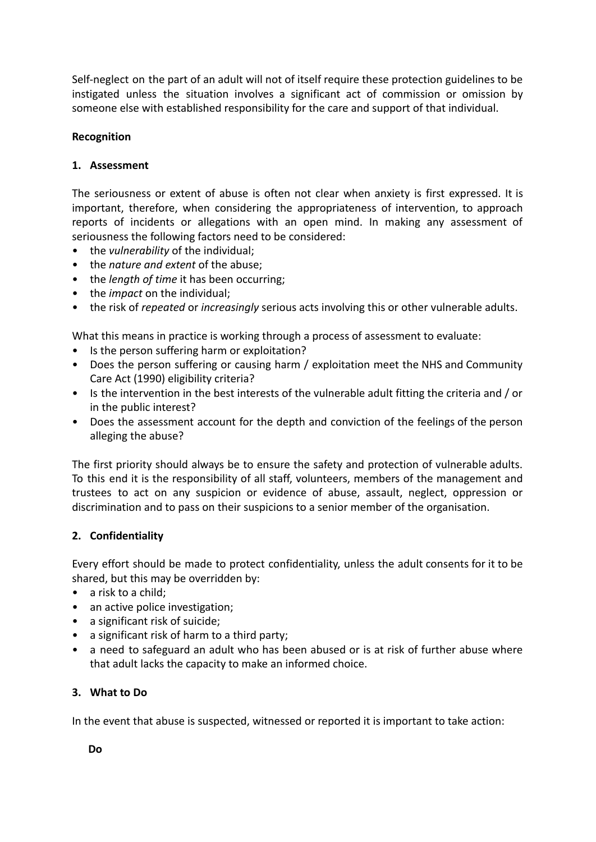Self-neglect on the part of an adult will not of itself require these protection guidelines to be instigated unless the situation involves a significant act of commission or omission by someone else with established responsibility for the care and support of that individual.

### **Recognition**

## **1. Assessment**

The seriousness or extent of abuse is often not clear when anxiety is first expressed. It is important, therefore, when considering the appropriateness of intervention, to approach reports of incidents or allegations with an open mind. In making any assessment of seriousness the following factors need to be considered:

- the *vulnerability* of the individual;
- the *nature and extent* of the abuse;
- the *length of time* it has been occurring;
- the *impact* on the individual;
- the risk of *repeated* or *increasingly* serious acts involving this or other vulnerable adults.

What this means in practice is working through a process of assessment to evaluate:

- Is the person suffering harm or exploitation?
- Does the person suffering or causing harm / exploitation meet the NHS and Community Care Act (1990) eligibility criteria?
- Is the intervention in the best interests of the vulnerable adult fitting the criteria and / or in the public interest?
- Does the assessment account for the depth and conviction of the feelings of the person alleging the abuse?

The first priority should always be to ensure the safety and protection of vulnerable adults. To this end it is the responsibility of all staff, volunteers, members of the management and trustees to act on any suspicion or evidence of abuse, assault, neglect, oppression or discrimination and to pass on their suspicions to a senior member of the organisation.

# **2. Confidentiality**

Every effort should be made to protect confidentiality, unless the adult consents for it to be shared, but this may be overridden by:

- a risk to a child;
- an active police investigation;
- a significant risk of suicide;
- a significant risk of harm to a third party;
- a need to safeguard an adult who has been abused or is at risk of further abuse where that adult lacks the capacity to make an informed choice.

### **3. What to Do**

In the event that abuse is suspected, witnessed or reported it is important to take action: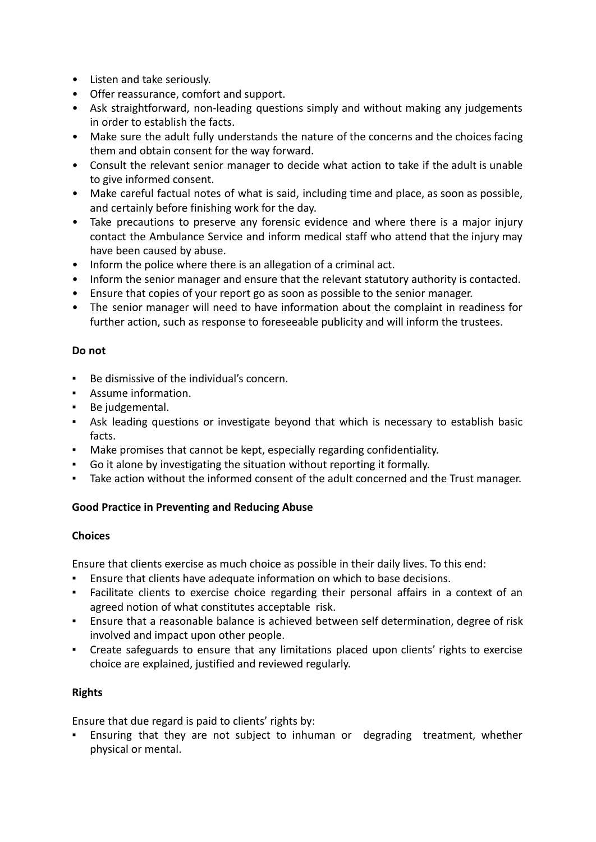- Listen and take seriously.
- Offer reassurance, comfort and support.
- Ask straightforward, non-leading questions simply and without making any judgements in order to establish the facts.
- Make sure the adult fully understands the nature of the concerns and the choices facing them and obtain consent for the way forward.
- Consult the relevant senior manager to decide what action to take if the adult is unable to give informed consent.
- Make careful factual notes of what is said, including time and place, as soon as possible, and certainly before finishing work for the day.
- Take precautions to preserve any forensic evidence and where there is a major injury contact the Ambulance Service and inform medical staff who attend that the injury may have been caused by abuse.
- Inform the police where there is an allegation of a criminal act.
- Inform the senior manager and ensure that the relevant statutory authority is contacted.
- Ensure that copies of your report go as soon as possible to the senior manager.
- The senior manager will need to have information about the complaint in readiness for further action, such as response to foreseeable publicity and will inform the trustees.

### **Do not**

- Be dismissive of the individual's concern.
- Assume information.
- Be judgemental.
- Ask leading questions or investigate beyond that which is necessary to establish basic facts.
- Make promises that cannot be kept, especially regarding confidentiality.
- Go it alone by investigating the situation without reporting it formally.
- Take action without the informed consent of the adult concerned and the Trust manager.

### **Good Practice in Preventing and Reducing Abuse**

### **Choices**

Ensure that clients exercise as much choice as possible in their daily lives. To this end:

- **Ensure that clients have adequate information on which to base decisions.**
- Facilitate clients to exercise choice regarding their personal affairs in a context of an agreed notion of what constitutes acceptable risk.
- Ensure that a reasonable balance is achieved between self determination, degree of risk involved and impact upon other people.
- Create safeguards to ensure that any limitations placed upon clients' rights to exercise choice are explained, justified and reviewed regularly.

### **Rights**

Ensure that due regard is paid to clients' rights by:

Ensuring that they are not subject to inhuman or degrading treatment, whether physical or mental.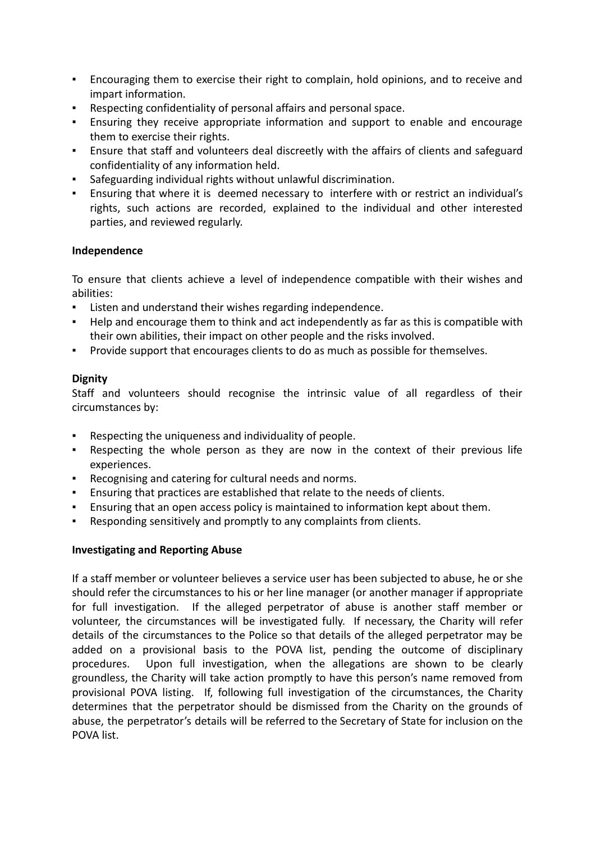- Encouraging them to exercise their right to complain, hold opinions, and to receive and impart information.
- Respecting confidentiality of personal affairs and personal space.
- Ensuring they receive appropriate information and support to enable and encourage them to exercise their rights.
- Ensure that staff and volunteers deal discreetly with the affairs of clients and safeguard confidentiality of any information held.
- Safeguarding individual rights without unlawful discrimination.
- Ensuring that where it is deemed necessary to interfere with or restrict an individual's rights, such actions are recorded, explained to the individual and other interested parties, and reviewed regularly.

#### **Independence**

To ensure that clients achieve a level of independence compatible with their wishes and abilities:

- Listen and understand their wishes regarding independence.
- Help and encourage them to think and act independently as far as this is compatible with their own abilities, their impact on other people and the risks involved.
- Provide support that encourages clients to do as much as possible for themselves.

### **Dignity**

Staff and volunteers should recognise the intrinsic value of all regardless of their circumstances by:

- Respecting the uniqueness and individuality of people.
- Respecting the whole person as they are now in the context of their previous life experiences.
- Recognising and catering for cultural needs and norms.
- Ensuring that practices are established that relate to the needs of clients.
- Ensuring that an open access policy is maintained to information kept about them.
- Responding sensitively and promptly to any complaints from clients.

#### **Investigating and Reporting Abuse**

If a staff member or volunteer believes a service user has been subjected to abuse, he or she should refer the circumstances to his or her line manager (or another manager if appropriate for full investigation. If the alleged perpetrator of abuse is another staff member or volunteer, the circumstances will be investigated fully. If necessary, the Charity will refer details of the circumstances to the Police so that details of the alleged perpetrator may be added on a provisional basis to the POVA list, pending the outcome of disciplinary procedures. Upon full investigation, when the allegations are shown to be clearly groundless, the Charity will take action promptly to have this person's name removed from provisional POVA listing. If, following full investigation of the circumstances, the Charity determines that the perpetrator should be dismissed from the Charity on the grounds of abuse, the perpetrator's details will be referred to the Secretary of State for inclusion on the POVA list.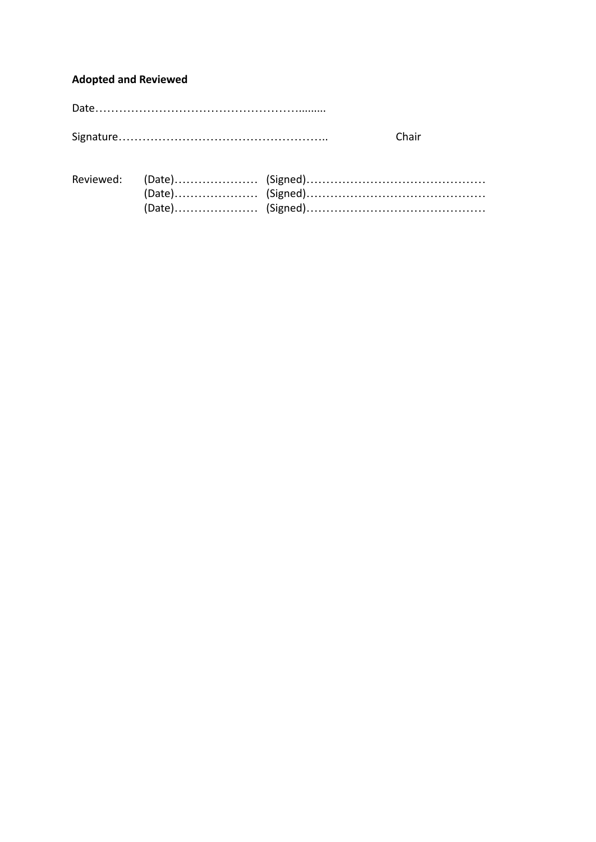# **Adopted and Reviewed**

Date…………………………………………….........

Signature…………………………………………….. Chair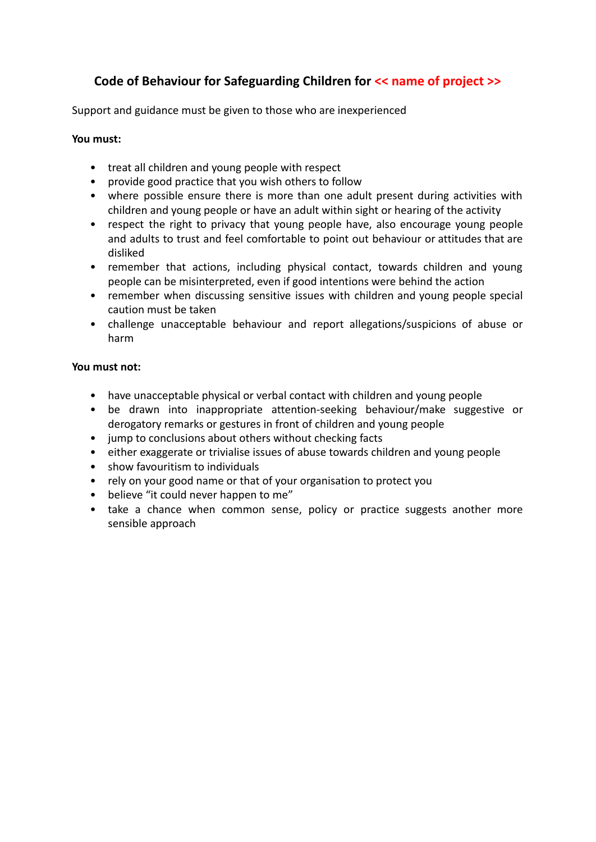# **Code of Behaviour for Safeguarding Children for << name of project >>**

Support and guidance must be given to those who are inexperienced

#### **You must:**

- treat all children and young people with respect
- provide good practice that you wish others to follow
- where possible ensure there is more than one adult present during activities with children and young people or have an adult within sight or hearing of the activity
- respect the right to privacy that young people have, also encourage young people and adults to trust and feel comfortable to point out behaviour or attitudes that are disliked
- remember that actions, including physical contact, towards children and young people can be misinterpreted, even if good intentions were behind the action
- remember when discussing sensitive issues with children and young people special caution must be taken
- challenge unacceptable behaviour and report allegations/suspicions of abuse or harm

#### **You must not:**

- have unacceptable physical or verbal contact with children and young people
- be drawn into inappropriate attention-seeking behaviour/make suggestive or derogatory remarks or gestures in front of children and young people
- jump to conclusions about others without checking facts
- either exaggerate or trivialise issues of abuse towards children and young people
- show favouritism to individuals
- rely on your good name or that of your organisation to protect you
- believe "it could never happen to me"
- take a chance when common sense, policy or practice suggests another more sensible approach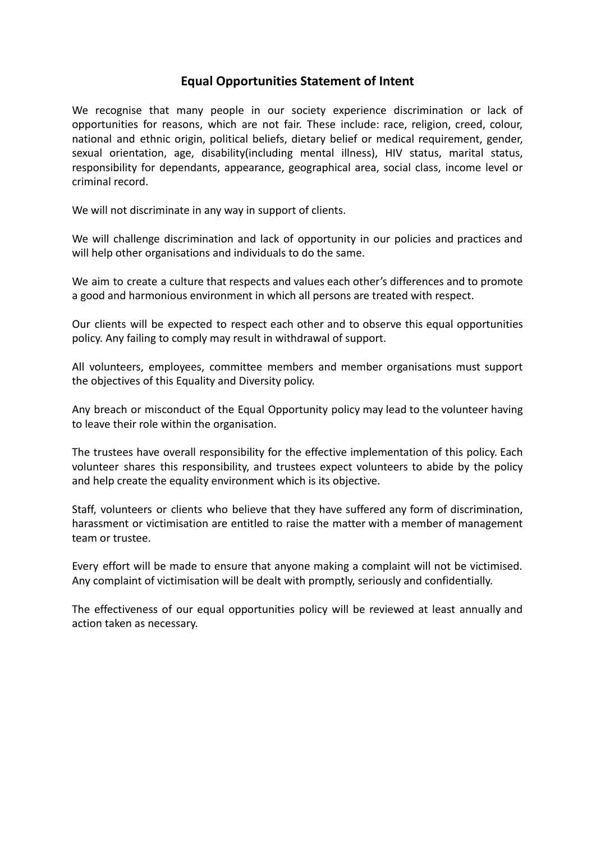# **Equal Opportunities Statement of Intent**

We recognise that many people in our society experience discrimination or lack of opportunities for reasons, which are not fair. These include: race, religion, creed, colour, national and ethnic origin, political beliefs, dietary belief or medical requirement, gender, sexual orientation, age, disability(including mental illness), HIV status, marital status, responsibility for dependants, appearance, geographical area, social class, income level or criminal record.

We will not discriminate in any way in support of clients.

We will challenge discrimination and lack of opportunity in our policies and practices and will help other organisations and individuals to do the same.

We aim to create a culture that respects and values each other's differences and to promote a good and harmonious environment in which all persons are treated with respect.

Our clients will be expected to respect each other and to observe this equal opportunities policy. Any failing to comply may result in withdrawal of support.

All volunteers, employees, committee members and member organisations must support the objectives of this Equality and Diversity policy.

Any breach or misconduct of the Equal Opportunity policy may lead to the volunteer having to leave their role within the organisation.

The trustees have overall responsibility for the effective implementation of this policy. Each volunteer shares this responsibility, and trustees expect volunteers to abide by the policy and help create the equality environment which is its objective.

Staff, volunteers or clients who believe that they have suffered any form of discrimination, harassment or victimisation are entitled to raise the matter with a member of management team or trustee.

Every effort will be made to ensure that anyone making a complaint will not be victimised. Any complaint of victimisation will be dealt with promptly, seriously and confidentially.

The effectiveness of our equal opportunities policy will be reviewed at least annually and action taken as necessary.